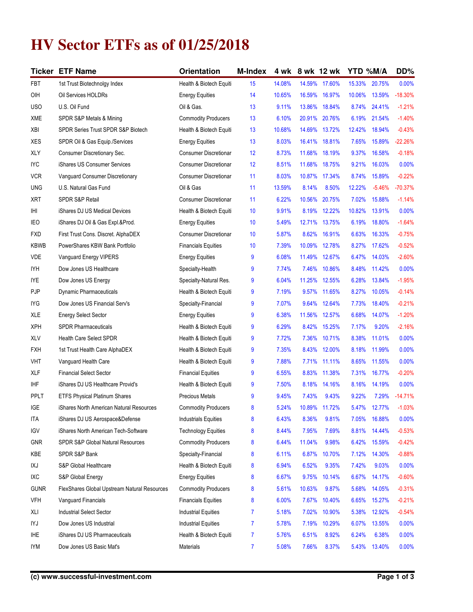## **HV Sector ETFs as of 01/25/2018**

|                 | <b>Ticker ETF Name</b>                       | Orientation                  | <b>M-Index</b> | 4 wk   |        | 8 wk 12 wk | YTD %M/A |          | DD%       |
|-----------------|----------------------------------------------|------------------------------|----------------|--------|--------|------------|----------|----------|-----------|
| FBT             | 1st Trust Biotechnolgy Index                 | Health & Biotech Equiti      | 15             | 14.08% | 14.59% | 17.60%     | 15.33%   | 20.75%   | 0.00%     |
| OIH             | Oil Services HOLDRs                          | <b>Energy Equities</b>       | 14             | 10.65% | 16.59% | 16.97%     | 10.06%   | 13.59%   | $-18.30%$ |
| <b>USO</b>      | U.S. Oil Fund                                | Oil & Gas.                   | 13             | 9.11%  | 13.86% | 18.84%     | 8.74%    | 24.41%   | $-1.21%$  |
| XME             | SPDR S&P Metals & Mining                     | <b>Commodity Producers</b>   | 13             | 6.10%  | 20.91% | 20.76%     | 6.19%    | 21.54%   | $-1.40%$  |
| XBI             | SPDR Series Trust SPDR S&P Biotech           | Health & Biotech Equiti      | 13             | 10.68% | 14.69% | 13.72%     | 12.42%   | 18.94%   | $-0.43%$  |
| XES             | SPDR Oil & Gas Equip./Services               | <b>Energy Equities</b>       | 13             | 8.03%  | 16.41% | 18.81%     | 7.65%    | 15.89%   | $-22.26%$ |
| XLY             | Consumer Discretionary Sec.                  | <b>Consumer Discretionar</b> | 12             | 8.73%  | 11.68% | 18.19%     | 9.37%    | 16.58%   | $-0.18%$  |
| <b>IYC</b>      | iShares US Consumer Services                 | <b>Consumer Discretionar</b> | 12             | 8.51%  | 11.68% | 18.75%     | 9.21%    | 16.03%   | 0.00%     |
| <b>VCR</b>      | Vanguard Consumer Discretionary              | <b>Consumer Discretionar</b> | 11             | 8.03%  | 10.87% | 17.34%     | 8.74%    | 15.89%   | $-0.22%$  |
| <b>UNG</b>      | U.S. Natural Gas Fund                        | Oil & Gas                    | 11             | 13.59% | 8.14%  | 8.50%      | 12.22%   | $-5.46%$ | $-70.37%$ |
| XRT             | <b>SPDR S&amp;P Retail</b>                   | <b>Consumer Discretionar</b> | 11             | 6.22%  | 10.56% | 20.75%     | 7.02%    | 15.88%   | $-1.14%$  |
| IHI             | iShares DJ US Medical Devices                | Health & Biotech Equiti      | 10             | 9.91%  | 8.19%  | 12.22%     | 10.82%   | 13.91%   | 0.00%     |
| IE <sub>O</sub> | iShares DJ Oil & Gas Expl.&Prod.             | <b>Energy Equities</b>       | 10             | 5.49%  | 12.71% | 13.75%     | 6.19%    | 18.80%   | $-1.64%$  |
| <b>FXD</b>      | First Trust Cons. Discret. AlphaDEX          | <b>Consumer Discretionar</b> | 10             | 5.87%  | 8.62%  | 16.91%     | 6.63%    | 16.33%   | $-0.75%$  |
| <b>KBWB</b>     | PowerShares KBW Bank Portfolio               | <b>Financials Equities</b>   | 10             | 7.39%  | 10.09% | 12.78%     | 8.27%    | 17.62%   | $-0.52%$  |
| <b>VDE</b>      | Vanguard Energy VIPERS                       | <b>Energy Equities</b>       | 9              | 6.08%  | 11.49% | 12.67%     | 6.47%    | 14.03%   | $-2.60%$  |
| IYH             | Dow Jones US Healthcare                      | Specialty-Health             | 9              | 7.74%  | 7.46%  | 10.86%     | 8.48%    | 11.42%   | 0.00%     |
| <b>IYE</b>      | Dow Jones US Energy                          | Specialty-Natural Res.       | 9              | 6.04%  | 11.25% | 12.55%     | 6.28%    | 13.84%   | $-1.95%$  |
| PJP             | <b>Dynamic Pharmaceuticals</b>               | Health & Biotech Equiti      | 9              | 7.19%  | 9.57%  | 11.65%     | 8.27%    | 10.05%   | $-0.14%$  |
| IYG             | Dow Jones US Financial Serv's                | Specialty-Financial          | 9              | 7.07%  | 9.64%  | 12.64%     | 7.73%    | 18.40%   | $-0.21%$  |
| <b>XLE</b>      | <b>Energy Select Sector</b>                  | <b>Energy Equities</b>       | 9              | 6.38%  | 11.56% | 12.57%     | 6.68%    | 14.07%   | $-1.20%$  |
| XPH             | <b>SPDR Pharmaceuticals</b>                  | Health & Biotech Equiti      | 9              | 6.29%  | 8.42%  | 15.25%     | 7.17%    | 9.20%    | $-2.16%$  |
| <b>XLV</b>      | <b>Health Care Select SPDR</b>               | Health & Biotech Equiti      | 9              | 7.72%  | 7.36%  | 10.71%     | 8.38%    | 11.01%   | 0.00%     |
| FXH             | 1st Trust Health Care AlphaDEX               | Health & Biotech Equiti      | 9              | 7.35%  | 8.43%  | 12.00%     | 8.18%    | 11.99%   | 0.00%     |
| VHT             | Vanguard Health Care                         | Health & Biotech Equiti      | 9              | 7.88%  | 7.71%  | 11.11%     | 8.65%    | 11.55%   | 0.00%     |
| <b>XLF</b>      | <b>Financial Select Sector</b>               | <b>Financial Equities</b>    | 9              | 6.55%  | 8.83%  | 11.38%     | 7.31%    | 16.77%   | $-0.20%$  |
| <b>IHF</b>      | iShares DJ US Healthcare Provid's            | Health & Biotech Equiti      | 9              | 7.50%  | 8.18%  | 14.16%     | 8.16%    | 14.19%   | 0.00%     |
| PPLT            | ETFS Physical Platinum Shares                | <b>Precious Metals</b>       | 9              | 9.45%  | 7.43%  | 9.43%      | 9.22%    | 7.29%    | $-14.71%$ |
| IGE             | iShares North American Natural Resources     | <b>Commodity Producers</b>   | 8              | 5.24%  | 10.89% | 11.72%     | 5.47%    | 12.77%   | $-1.03%$  |
| <b>ITA</b>      | iShares DJ US Aerospace&Defense              | <b>Industrials Equities</b>  | 8              | 6.43%  | 8.36%  | 9.81%      | 7.05%    | 16.88%   | 0.00%     |
| IGV             | iShares North American Tech-Software         | <b>Technology Equities</b>   | 8              | 8.44%  | 7.95%  | 7.69%      | 8.81%    | 14.44%   | $-0.53%$  |
| <b>GNR</b>      | <b>SPDR S&amp;P Global Natural Resources</b> | <b>Commodity Producers</b>   | 8              | 6.44%  | 11.04% | 9.98%      | 6.42%    | 15.59%   | $-0.42%$  |
| KBE             | SPDR S&P Bank                                | Specialty-Financial          | 8              | 6.11%  | 6.87%  | 10.70%     | 7.12%    | 14.30%   | $-0.88%$  |
| IXJ             | S&P Global Healthcare                        | Health & Biotech Equiti      | 8              | 6.94%  | 6.52%  | 9.35%      | 7.42%    | 9.03%    | 0.00%     |
| IXC             | S&P Global Energy                            | <b>Energy Equities</b>       | 8              | 6.67%  | 9.75%  | 10.14%     | 6.67%    | 14.17%   | $-0.60%$  |
| <b>GUNR</b>     | FlexShares Global Upstream Natural Resources | <b>Commodity Producers</b>   | 8              | 5.61%  | 10.63% | 9.87%      | 5.68%    | 14.05%   | $-0.31%$  |
| <b>VFH</b>      | Vanguard Financials                          | <b>Financials Equities</b>   | 8              | 6.00%  | 7.67%  | 10.40%     | 6.65%    | 15.27%   | $-0.21%$  |
| XLI             | Industrial Select Sector                     | <b>Industrial Equities</b>   | 7              | 5.18%  | 7.02%  | 10.90%     | 5.38%    | 12.92%   | $-0.54%$  |
| IYJ             | Dow Jones US Industrial                      | <b>Industrial Equities</b>   | $\overline{7}$ | 5.78%  | 7.19%  | 10.29%     | 6.07%    | 13.55%   | 0.00%     |
| <b>IHE</b>      | iShares DJ US Pharmaceuticals                | Health & Biotech Equiti      | 7              | 5.76%  | 6.51%  | 8.92%      | 6.24%    | 6.38%    | 0.00%     |
| <b>IYM</b>      | Dow Jones US Basic Mat's                     | Materials                    | $\overline{7}$ | 5.08%  | 7.66%  | 8.37%      | 5.43%    | 13.40%   | 0.00%     |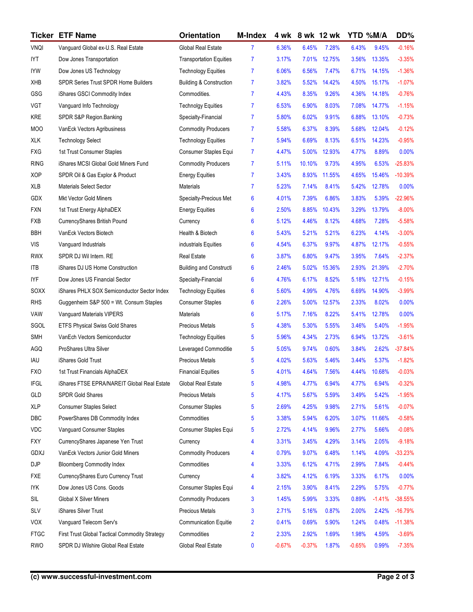|             | <b>Ticker ETF Name</b>                         | <b>Orientation</b>                 | <b>M-Index</b> | 4 wk     | 8 wk 12 wk |        | YTD %M/A |          | DD%       |
|-------------|------------------------------------------------|------------------------------------|----------------|----------|------------|--------|----------|----------|-----------|
| <b>VNQI</b> | Vanguard Global ex-U.S. Real Estate            | Global Real Estate                 | 7              | 6.36%    | 6.45%      | 7.28%  | 6.43%    | 9.45%    | $-0.16%$  |
| IYT         | Dow Jones Transportation                       | <b>Transportation Equities</b>     | $\overline{7}$ | 3.17%    | 7.01%      | 12.75% | 3.56%    | 13.35%   | $-3.35%$  |
| <b>IYW</b>  | Dow Jones US Technology                        | <b>Technology Equities</b>         | $\overline{7}$ | 6.06%    | 6.56%      | 7.47%  | 6.71%    | 14.15%   | $-1.36%$  |
| XHB         | SPDR Series Trust SPDR Home Builders           | <b>Building &amp; Construction</b> | $\overline{7}$ | 3.82%    | 5.52%      | 14.42% | 4.50%    | 15.17%   | $-1.07%$  |
| GSG         | iShares GSCI Commodity Index                   | Commodities.                       | 7              | 4.43%    | 8.35%      | 9.26%  | 4.36%    | 14.18%   | $-0.76%$  |
| <b>VGT</b>  | Vanguard Info Technology                       | <b>Technolgy Equities</b>          | $\overline{7}$ | 6.53%    | 6.90%      | 8.03%  | 7.08%    | 14.77%   | $-1.15%$  |
| KRE         | SPDR S&P Region.Banking                        | Specialty-Financial                | $\overline{7}$ | 5.80%    | 6.02%      | 9.91%  | 6.88%    | 13.10%   | $-0.73%$  |
| <b>MOO</b>  | VanEck Vectors Agribusiness                    | <b>Commodity Producers</b>         | $\overline{7}$ | 5.58%    | 6.37%      | 8.39%  | 5.68%    | 12.04%   | $-0.12%$  |
| <b>XLK</b>  | <b>Technology Select</b>                       | <b>Technology Equities</b>         | $\overline{7}$ | 5.94%    | 6.69%      | 8.13%  | 6.51%    | 14.23%   | $-0.95%$  |
| <b>FXG</b>  | 1st Trust Consumer Staples                     | Consumer Staples Equi              | $\overline{7}$ | 4.47%    | 5.00%      | 12.93% | 4.77%    | 8.89%    | 0.00%     |
| <b>RING</b> | iShares MCSI Global Gold Miners Fund           | <b>Commodity Producers</b>         | $\overline{7}$ | 5.11%    | 10.10%     | 9.73%  | 4.95%    | 6.53%    | $-25.83%$ |
| <b>XOP</b>  | SPDR Oil & Gas Explor & Product                | <b>Energy Equities</b>             | 7              | 3.43%    | 8.93%      | 11.55% | 4.65%    | 15.46%   | $-10.39%$ |
| XLB         | <b>Materials Select Sector</b>                 | Materials                          | 7              | 5.23%    | 7.14%      | 8.41%  | 5.42%    | 12.78%   | 0.00%     |
| GDX         | Mkt Vector Gold Miners                         | Specialty-Precious Met             | 6              | 4.01%    | 7.39%      | 6.86%  | 3.83%    | 5.39%    | $-22.96%$ |
| <b>FXN</b>  | 1st Trust Energy AlphaDEX                      | <b>Energy Equities</b>             | 6              | 2.50%    | 8.85%      | 10.43% | 3.29%    | 13.79%   | $-8.00%$  |
| <b>FXB</b>  | CurrencyShares British Pound                   | Currency                           | 6              | 5.12%    | 4.46%      | 8.12%  | 4.68%    | 7.28%    | $-5.58%$  |
| <b>BBH</b>  | VanEck Vectors Biotech                         | Health & Biotech                   | 6              | 5.43%    | 5.21%      | 5.21%  | 6.23%    | 4.14%    | $-3.00%$  |
| <b>VIS</b>  | Vanguard Industrials                           | industrials Equities               | 6              | 4.54%    | 6.37%      | 9.97%  | 4.87%    | 12.17%   | $-0.55%$  |
| <b>RWX</b>  | SPDR DJ Wil Intern. RE                         | <b>Real Estate</b>                 | 6              | 3.87%    | 6.80%      | 9.47%  | 3.95%    | 7.64%    | $-2.37%$  |
| <b>ITB</b>  | iShares DJ US Home Construction                | <b>Building and Constructi</b>     | 6              | 2.46%    | 5.02%      | 15.36% | 2.93%    | 21.39%   | $-2.70%$  |
| <b>IYF</b>  | Dow Jones US Financial Sector                  | Specialty-Financial                | 6              | 4.76%    | 6.17%      | 8.52%  | 5.18%    | 12.71%   | $-0.15%$  |
| SOXX        | iShares PHLX SOX Semiconductor Sector Index    | <b>Technology Equities</b>         | 6              | 5.60%    | 4.99%      | 4.76%  | 6.69%    | 14.90%   | $-3.99%$  |
| <b>RHS</b>  | Guggenheim S&P 500 = Wt. Consum Staples        | <b>Consumer Staples</b>            | 6              | 2.26%    | 5.00%      | 12.57% | 2.33%    | 8.02%    | 0.00%     |
| VAW         | Vanguard Materials VIPERS                      | Materials                          | 6              | 5.17%    | 7.16%      | 8.22%  | 5.41%    | 12.78%   | 0.00%     |
| SGOL        | ETFS Physical Swiss Gold Shares                | Precious Metals                    | 5              | 4.38%    | 5.30%      | 5.55%  | 3.46%    | 5.40%    | $-1.95%$  |
| <b>SMH</b>  | VanEch Vectors Semiconductor                   | <b>Technology Equities</b>         | 5              | 5.96%    | 4.34%      | 2.73%  | 6.94%    | 13.72%   | $-3.61%$  |
| AGQ         | ProShares Ultra Silver                         | Leveraged Commoditie               | 5              | 5.05%    | 9.74%      | 0.60%  | 3.84%    | 2.62%    | $-37.84%$ |
| IAU         | iShares Gold Trust                             | <b>Precious Metals</b>             | 5              | 4.02%    | 5.63%      | 5.46%  | 3.44%    | 5.37%    | $-1.82%$  |
| <b>FXO</b>  | 1st Trust Financials AlphaDEX                  | <b>Financial Equities</b>          | 5              | 4.01%    | 4.64%      | 7.56%  | 4.44%    | 10.68%   | $-0.03%$  |
| <b>IFGL</b> | iShares FTSE EPRA/NAREIT Global Real Estate    | Global Real Estate                 | 5              | 4.98%    | 4.77%      | 6.94%  | 4.77%    | 6.94%    | $-0.32%$  |
| GLD         | SPDR Gold Shares                               | <b>Precious Metals</b>             | 5              | 4.17%    | 5.67%      | 5.59%  | 3.49%    | 5.42%    | $-1.95%$  |
| <b>XLP</b>  | Consumer Staples Select                        | <b>Consumer Staples</b>            | 5              | 2.69%    | 4.25%      | 9.98%  | 2.71%    | 5.61%    | $-0.07%$  |
| DBC         | PowerShares DB Commodity Index                 | Commodities                        | 5              | 3.38%    | 5.94%      | 6.20%  | 3.07%    | 11.66%   | $-0.58%$  |
| <b>VDC</b>  | Vanguard Consumer Staples                      | Consumer Staples Equi              | 5              | 2.72%    | 4.14%      | 9.96%  | 2.77%    | 5.66%    | $-0.08%$  |
| <b>FXY</b>  | CurrencyShares Japanese Yen Trust              | Currency                           | 4              | 3.31%    | 3.45%      | 4.29%  | 3.14%    | 2.05%    | $-9.18%$  |
| <b>GDXJ</b> | VanEck Vectors Junior Gold Miners              | <b>Commodity Producers</b>         | 4              | 0.79%    | 9.07%      | 6.48%  | 1.14%    | 4.09%    | $-33.23%$ |
| DJP         | <b>Bloomberg Commodity Index</b>               | Commodities                        | 4              | 3.33%    | 6.12%      | 4.71%  | 2.99%    | 7.84%    | $-0.44%$  |
| <b>FXE</b>  | CurrencyShares Euro Currency Trust             | Currency                           | 4              | 3.82%    | 4.12%      | 6.19%  | 3.33%    | 6.17%    | 0.00%     |
| <b>IYK</b>  | Dow Jones US Cons. Goods                       | Consumer Staples Equi              | 4              | 2.15%    | 3.90%      | 8.41%  | 2.29%    | 5.75%    | $-0.77%$  |
| SIL         | <b>Global X Silver Miners</b>                  | <b>Commodity Producers</b>         | 3              | 1.45%    | 5.99%      | 3.33%  | 0.89%    | $-1.41%$ | $-38.55%$ |
| <b>SLV</b>  | iShares Silver Trust                           | Precious Metals                    | 3              | 2.71%    | 5.16%      | 0.87%  | 2.00%    | 2.42%    | $-16.79%$ |
| <b>VOX</b>  | Vanguard Telecom Serv's                        | <b>Communication Equitie</b>       | 2              | 0.41%    | 0.69%      | 5.90%  | 1.24%    | 0.48%    | $-11.38%$ |
| <b>FTGC</b> | First Trust Global Tactical Commodity Strategy | Commodities                        | 2              | 2.33%    | 2.92%      | 1.69%  | 1.98%    | 4.59%    | $-3.69%$  |
| RWO         | SPDR DJ Wilshire Global Real Estate            | Global Real Estate                 | 0              | $-0.67%$ | $-0.37%$   | 1.87%  | $-0.65%$ | 0.99%    | $-7.35%$  |